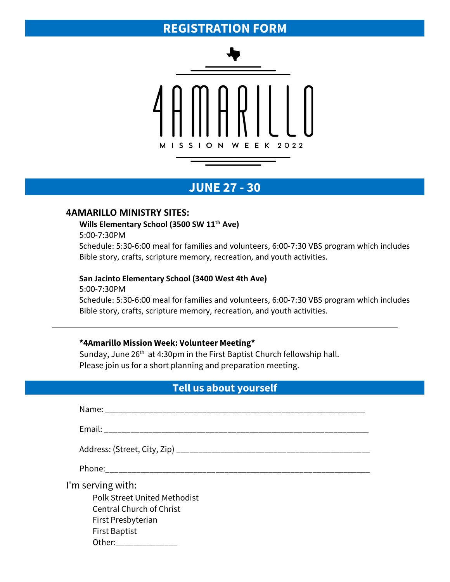# **REGISTRATION FORM**



# **JUNE 27 - 30**

#### **4AMARILLO MINISTRY SITES:**

#### **Wills Elementary School (3500 SW 11th Ave)**

5:00-7:30PM

Schedule: 5:30-6:00 meal for families and volunteers, 6:00-7:30 VBS program which includes Bible story, crafts, scripture memory, recreation, and youth activities.

#### **San Jacinto Elementary School (3400 West 4th Ave)**

5:00-7:30PM Schedule: 5:30-6:00 meal for families and volunteers, 6:00-7:30 VBS program which includes Bible story, crafts, scripture memory, recreation, and youth activities.

## **\*4Amarillo Mission Week: Volunteer Meeting\***

Sunday, June 26<sup>th</sup> at 4:30pm in the First Baptist Church fellowship hall. Please join us for a short planning and preparation meeting.

### **Tell us about yourself**